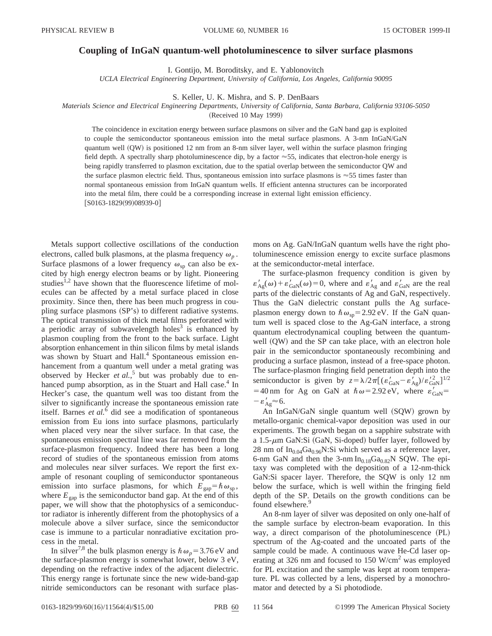## **Coupling of InGaN quantum-well photoluminescence to silver surface plasmons**

I. Gontijo, M. Boroditsky, and E. Yablonovitch

*UCLA Electrical Engineering Department, University of California, Los Angeles, California 90095*

S. Keller, U. K. Mishra, and S. P. DenBaars

*Materials Science and Electrical Engineering Departments, University of California, Santa Barbara, California 93106-5050*

(Received 10 May 1999)

The coincidence in excitation energy between surface plasmons on silver and the GaN band gap is exploited to couple the semiconductor spontaneous emission into the metal surface plasmons. A 3-nm InGaN/GaN quantum well (QW) is positioned 12 nm from an 8-nm silver layer, well within the surface plasmon fringing field depth. A spectrally sharp photoluminescence dip, by a factor  $\approx$  55, indicates that electron-hole energy is being rapidly transferred to plasmon excitation, due to the spatial overlap between the semiconductor QW and the surface plasmon electric field. Thus, spontaneous emission into surface plasmons is  $\approx$  55 times faster than normal spontaneous emission from InGaN quantum wells. If efficient antenna structures can be incorporated into the metal film, there could be a corresponding increase in external light emission efficiency.  $[$ S0163-1829(99)08939-0]

Metals support collective oscillations of the conduction electrons, called bulk plasmons, at the plasma frequency  $\omega_p$ . Surface plasmons of a lower frequency  $\omega_{sp}$  can also be excited by high energy electron beams or by light. Pioneering studies<sup>1,2</sup> have shown that the fluorescence lifetime of molecules can be affected by a metal surface placed in close proximity. Since then, there has been much progress in coupling surface plasmons  $(SP's)$  to different radiative systems. The optical transmission of thick metal films perforated with a periodic array of subwavelength holes<sup>3</sup> is enhanced by plasmon coupling from the front to the back surface. Light absorption enhancement in thin silicon films by metal islands was shown by Stuart and Hall.<sup>4</sup> Spontaneous emission enhancement from a quantum well under a metal grating was observed by Hecker *et al.*, <sup>5</sup> but was probably due to enhanced pump absorption, as in the Stuart and Hall case.<sup>4</sup> In Hecker's case, the quantum well was too distant from the silver to significantly increase the spontaneous emission rate itself. Barnes *et al.*<sup>6</sup> did see a modification of spontaneous emission from Eu ions into surface plasmons, particularly when placed very near the silver surface. In that case, the spontaneous emission spectral line was far removed from the surface-plasmon frequency. Indeed there has been a long record of studies of the spontaneous emission from atoms and molecules near silver surfaces. We report the first example of resonant coupling of semiconductor spontaneous emission into surface plasmons, for which  $E_{\text{gap}} = \hbar \omega_{\text{sp}}$ , where  $E_{\text{gap}}$  is the semiconductor band gap. At the end of this paper, we will show that the photophysics of a semiconductor radiator is inherently different from the photophysics of a molecule above a silver surface, since the semiconductor case is immune to a particular nonradiative excitation process in the metal.

In silver<sup>7,8</sup> the bulk plasmon energy is  $\hbar \omega_p = 3.76 \text{ eV}$  and the surface-plasmon energy is somewhat lower, below 3 eV, depending on the refractive index of the adjacent dielectric. This energy range is fortunate since the new wide-band-gap nitride semiconductors can be resonant with surface plasmons on Ag. GaN/InGaN quantum wells have the right photoluminescence emission energy to excite surface plasmons at the semiconductor-metal interface.

The surface-plasmon frequency condition is given by  $\varepsilon'_{Ag}(\omega)+\varepsilon'_{Gal}(\omega)=0$ , where and  $\varepsilon'_{Ag}$  and  $\varepsilon'_{Gal}$  are the real parts of the dielectric constants of Ag and GaN, respectively. Thus the GaN dielectric constant pulls the Ag surfaceplasmon energy down to  $\hbar\omega_{\rm{sp}}=2.92 \text{ eV}$ . If the GaN quantum well is spaced close to the Ag-GaN interface, a strong quantum electrodynamical coupling between the quantumwell  $(QW)$  and the SP can take place, with an electron hole pair in the semiconductor spontaneously recombining and producing a surface plasmon, instead of a free-space photon. The surface-plasmon fringing field penetration depth into the semiconductor is given by  $z = \lambda / 2\pi [(\varepsilon'_{\text{GAN}} - \varepsilon'_{\text{Ag}})/\varepsilon'_{\text{GAN}}^2]^{1/2}$ =40 nm for Ag on GaN at  $\hbar \omega$ =2.92 eV, where  $\varepsilon'_{\text{GaN}}$  =  $-\varepsilon_{Ag}^{\prime} \approx 6.$ 

An InGaN/GaN single quantum well  $(SQW)$  grown by metallo-organic chemical-vapor deposition was used in our experiments. The growth began on a sapphire substrate with a 1.5- $\mu$ m GaN:Si (GaN, Si-doped) buffer layer, followed by 28 nm of  $In<sub>0.04</sub>Ga<sub>0.96</sub>N:Si which served as a reference layer,$ 6-nm GaN and then the 3-nm  $In<sub>0.18</sub>Ga<sub>0.82</sub>N$  SQW. The epitaxy was completed with the deposition of a 12-nm-thick GaN:Si spacer layer. Therefore, the SQW is only 12 nm below the surface, which is well within the fringing field depth of the SP. Details on the growth conditions can be found elsewhere.<sup>9</sup>

An 8-nm layer of silver was deposited on only one-half of the sample surface by electron-beam evaporation. In this way, a direct comparison of the photoluminescence (PL) spectrum of the Ag-coated and the uncoated parts of the sample could be made. A continuous wave He-Cd laser operating at 326 nm and focused to 150 W/cm<sup>2</sup> was employed for PL excitation and the sample was kept at room temperature. PL was collected by a lens, dispersed by a monochromator and detected by a Si photodiode.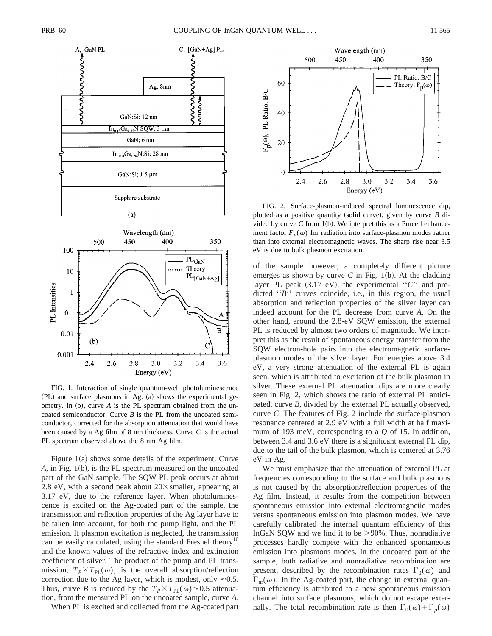



FIG. 1. Interaction of single quantum-well photoluminescence  $(PL)$  and surface plasmons in Ag.  $(a)$  shows the experimental geometry. In  $(b)$ , curve  $A$  is the PL spectrum obtained from the uncoated semiconductor. Curve *B* is the PL from the uncoated semiconductor, corrected for the absorption attenuation that would have been caused by a Ag film of 8 nm thickness. Curve *C* is the actual PL spectrum observed above the 8 nm Ag film.

Figure  $1(a)$  shows some details of the experiment. Curve *A*, in Fig. 1(b), is the PL spectrum measured on the uncoated part of the GaN sample. The SQW PL peak occurs at about 2.8 eV, with a second peak about  $20\times$  smaller, appearing at 3.17 eV, due to the reference layer. When photoluminescence is excited on the Ag-coated part of the sample, the transmission and reflection properties of the Ag layer have to be taken into account, for both the pump light, and the PL emission. If plasmon excitation is neglected, the transmission can be easily calculated, using the standard Fresnel theory<sup>10</sup> and the known values of the refractive index and extinction coefficient of silver. The product of the pump and PL transmission,  $T_P \times T_{\text{PL}}(\omega)$ , is the overall absorption/reflection correction due to the Ag layer, which is modest, only  $\approx 0.5$ . Thus, curve *B* is reduced by the  $T_P \times T_{PL}(\omega) \approx 0.5$  attenuation, from the measured PL on the uncoated sample, curve *A*.

When PL is excited and collected from the Ag-coated part



FIG. 2. Surface-plasmon-induced spectral luminescence dip, plotted as a positive quantity (solid curve), given by curve  $B$  divided by curve  $C$  from 1(b). We interpret this as a Purcell enhancement factor  $F_p(\omega)$  for radiation into surface-plasmon modes rather than into external electromagnetic waves. The sharp rise near 3.5 eV is due to bulk plasmon excitation.

of the sample however, a completely different picture emerges as shown by curve *C* in Fig. 1(b). At the cladding layer PL peak  $(3.17 \text{ eV})$ , the experimental "*C*" and predicted "*B*" curves coincide, i.e., in this region, the usual absorption and reflection properties of the silver layer can indeed account for the PL decrease from curve *A*. On the other hand, around the 2.8-eV SQW emission, the external PL is reduced by almost two orders of magnitude. We interpret this as the result of spontaneous energy transfer from the SQW electron-hole pairs into the electromagnetic surfaceplasmon modes of the silver layer. For energies above 3.4 eV, a very strong attenuation of the external PL is again seen, which is attributed to excitation of the bulk plasmon in silver. These external PL attenuation dips are more clearly seen in Fig. 2, which shows the ratio of external PL anticipated, curve *B*, divided by the external PL actually observed, curve *C*. The features of Fig. 2 include the surface-plasmon resonance centered at 2.9 eV with a full width at half maximum of 193 meV, corresponding to a *Q* of 15. In addition, between 3.4 and 3.6 eV there is a significant external PL dip, due to the tail of the bulk plasmon, which is centered at 3.76 eV in Ag.

We must emphasize that the attenuation of external PL at frequencies corresponding to the surface and bulk plasmons is not caused by the absorption/reflection properties of the Ag film. Instead, it results from the competition between spontaneous emission into external electromagnetic modes versus spontaneous emission into plasmon modes. We have carefully calibrated the internal quantum efficiency of this InGaN SQW and we find it to be  $>90\%$ . Thus, nonradiative processes hardly compete with the enhanced spontaneous emission into plasmons modes. In the uncoated part of the sample, both radiative and nonradiative recombination are present, described by the recombination rates  $\Gamma_0(\omega)$  and  $\Gamma_{\text{nr}}(\omega)$ . In the Ag-coated part, the change in external quantum efficiency is attributed to a new spontaneous emission channel into surface plasmons, which do not escape externally. The total recombination rate is then  $\Gamma_0(\omega) + \Gamma_p(\omega)$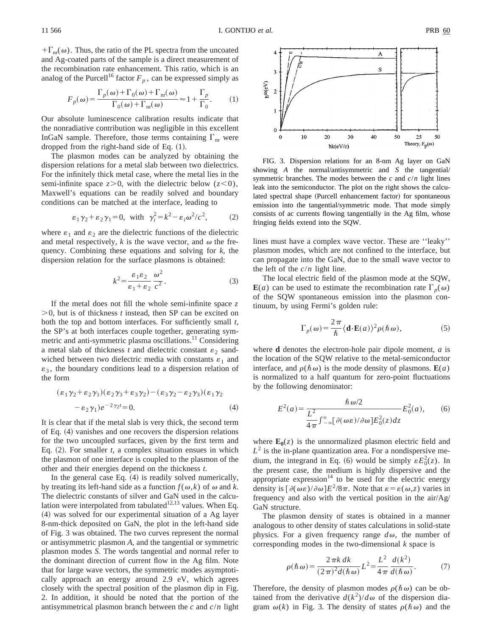$+\Gamma_{\text{nr}}(\omega)$ . Thus, the ratio of the PL spectra from the uncoated and Ag-coated parts of the sample is a direct measurement of the recombination rate enhancement. This ratio, which is an analog of the Purcell<sup>16</sup> factor  $F_p$ , can be expressed simply as

$$
F_p(\omega) = \frac{\Gamma_p(\omega) + \Gamma_0(\omega) + \Gamma_{\text{nr}}(\omega)}{\Gamma_0(\omega) + \Gamma_{\text{nr}}(\omega)} \approx 1 + \frac{\Gamma_p}{\Gamma_0}.
$$
 (1)

Our absolute luminescence calibration results indicate that the nonradiative contribution was negligible in this excellent InGaN sample. Therefore, those terms containing  $\Gamma_{\text{nr}}$  were dropped from the right-hand side of Eq.  $(1)$ .

The plasmon modes can be analyzed by obtaining the dispersion relations for a metal slab between two dielectrics. For the infinitely thick metal case, where the metal lies in the semi-infinite space  $z>0$ , with the dielectric below  $(z<0)$ , Maxwell's equations can be readily solved and boundary conditions can be matched at the interface, leading to

$$
\varepsilon_1 \gamma_2 + \varepsilon_2 \gamma_1 = 0
$$
, with  $\gamma_i^2 = k^2 - \varepsilon_i \omega^2 / c^2$ , (2)

where  $\varepsilon_1$  and  $\varepsilon_2$  are the dielectric functions of the dielectric and metal respectively,  $k$  is the wave vector, and  $\omega$  the frequency. Combining these equations and solving for *k*, the dispersion relation for the surface plasmons is obtained:

$$
k^2 = \frac{\varepsilon_1 \varepsilon_2}{\varepsilon_1 + \varepsilon_2} \frac{\omega^2}{c^2}.
$$
 (3)

If the metal does not fill the whole semi-infinite space *z*  $>0$ , but is of thickness *t* instead, then SP can be excited on both the top and bottom interfaces. For sufficiently small *t*, the SP's at both interfaces couple together, generating symmetric and anti-symmetric plasma oscillations.<sup>11</sup> Considering a metal slab of thickness  $t$  and dielectric constant  $\varepsilon_2$  sandwiched between two dielectric media with constants  $\varepsilon_1$  and  $\varepsilon_3$ , the boundary conditions lead to a dispersion relation of the form

$$
(\varepsilon_1 \gamma_2 + \varepsilon_2 \gamma_1)(\varepsilon_2 \gamma_3 + \varepsilon_3 \gamma_2) - (\varepsilon_3 \gamma_2 - \varepsilon_2 \gamma_3)(\varepsilon_1 \gamma_2 - \varepsilon_2 \gamma_1)e^{-2\gamma_2 t} = 0.
$$
 (4)

It is clear that if the metal slab is very thick, the second term of Eq.  $(4)$  vanishes and one recovers the dispersion relations for the two uncoupled surfaces, given by the first term and Eq.  $(2)$ . For smaller *t*, a complex situation ensues in which the plasmon of one interface is coupled to the plasmon of the other and their energies depend on the thickness *t*.

In the general case Eq.  $(4)$  is readily solved numerically, by treating its left-hand side as a function  $f(\omega, k)$  of  $\omega$  and *k*. The dielectric constants of silver and GaN used in the calculation were interpolated from tabulated<sup>12,13</sup> values. When Eq.  $(4)$  was solved for our experimental situation of a Ag layer 8-nm-thick deposited on GaN, the plot in the left-hand side of Fig. 3 was obtained. The two curves represent the normal or antisymmetric plasmon *A*, and the tangential or symmetric plasmon modes *S*. The words tangential and normal refer to the dominant direction of current flow in the Ag film. Note that for large wave vectors, the symmetric modes asymptotically approach an energy around 2.9 eV, which agrees closely with the spectral position of the plasmon dip in Fig. 2. In addition, it should be noted that the portion of the antisymmetrical plasmon branch between the *c* and *c*/*n* light



FIG. 3. Dispersion relations for an 8-nm Ag layer on GaN showing *A* the normal/antisymmetric and *S* the tangential/ symmetric branches. The modes between the *c* and *c*/*n* light lines leak into the semiconductor. The plot on the right shows the calculated spectral shape (Purcell enhancement factor) for spontaneous emission into the tangential/symmetric mode. That mode simply consists of ac currents flowing tangentially in the Ag film, whose fringing fields extend into the SQW.

lines must have a complex wave vector. These are ''leaky'' plasmon modes, which are not confined to the interface, but can propagate into the GaN, due to the small wave vector to the left of the  $c/n$  light line.

The local electric field of the plasmon mode at the SQW,  $E(a)$  can be used to estimate the recombination rate  $\Gamma_p(\omega)$ of the SQW spontaneous emission into the plasmon continuum, by using Fermi's golden rule:

$$
\Gamma_p(\omega) = \frac{2\pi}{\hbar} \langle \mathbf{d} \cdot \mathbf{E}(a) \rangle^2 \rho(\hbar \omega), \tag{5}
$$

where **d** denotes the electron-hole pair dipole moment, *a* is the location of the SQW relative to the metal-semiconductor interface, and  $\rho(\hbar \omega)$  is the mode density of plasmons.  $\mathbf{E}(a)$ is normalized to a half quantum for zero-point fluctuations by the following denominator:

$$
E^{2}(a) = \frac{\hbar \omega/2}{\frac{L^{2}}{4\pi} \int_{-\infty}^{\infty} [\partial(\omega \varepsilon)/\partial \omega] E_{0}^{2}(z) dz} E_{0}^{2}(a), \qquad (6)
$$

where  $\mathbf{E}_0(z)$  is the unnormalized plasmon electric field and  $L<sup>2</sup>$  is the in-plane quantization area. For a nondispersive medium, the integrand in Eq. (6) would be simply  $\epsilon E_0^2(z)$ . In the present case, the medium is highly dispersive and the appropriate expression $14$  to be used for the electric energy density is  $\left[\partial(\omega\varepsilon)/\partial\omega\right]E^2/8\pi$ . Note that  $\varepsilon = \varepsilon(\omega, z)$  varies in frequency and also with the vertical position in the air/Ag/ GaN structure.

The plasmon density of states is obtained in a manner analogous to other density of states calculations in solid-state physics. For a given frequency range  $d\omega$ , the number of corresponding modes in the two-dimensional *k* space is

$$
\rho(\hbar \omega) = \frac{2 \pi k \, dk}{(2 \pi)^2 d(\hbar \omega)} L^2 = \frac{L^2}{4 \pi} \frac{d(k^2)}{d(\hbar \omega)}.
$$
 (7)

Therefore, the density of plasmon modes  $\rho(\hbar \omega)$  can be obtained from the derivative  $d(k^2)/d\omega$  of the dispersion diagram  $\omega(k)$  in Fig. 3. The density of states  $\rho(\hbar \omega)$  and the